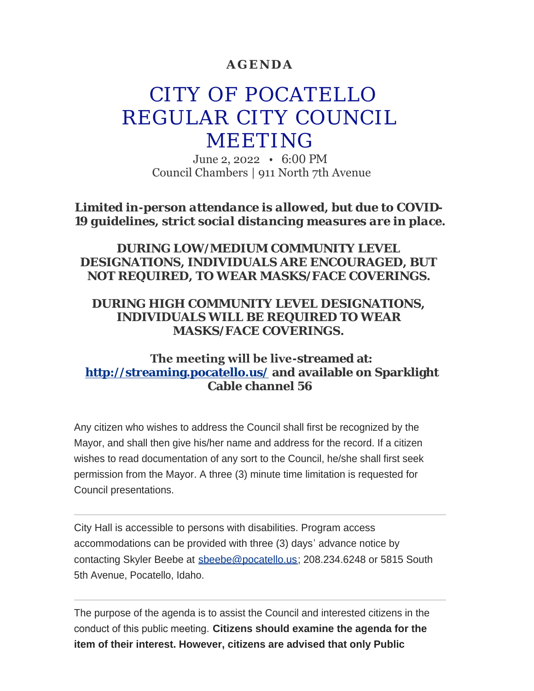### **AGENDA**

# CITY OF POCATELLO REGULAR CITY COUNCIL MEETING

June 2, 2022 • 6:00 PM Council Chambers | 911 North 7th Avenue

*Limited in-person attendance is allowed, but due to COVID-19 guidelines, strict social distancing measures are in place.*

*DURING LOW/MEDIUM COMMUNITY LEVEL DESIGNATIONS, INDIVIDUALS ARE ENCOURAGED, BUT NOT REQUIRED, TO WEAR MASKS/FACE COVERINGS.*

#### *DURING HIGH COMMUNITY LEVEL DESIGNATIONS, INDIVIDUALS WILL BE REQUIRED TO WEAR MASKS/FACE COVERINGS.*

### **The meeting will be live-streamed at: <http://streaming.pocatello.us/> and available on Sparklight Cable channel 56**

Any citizen who wishes to address the Council shall first be recognized by the Mayor, and shall then give his/her name and address for the record. If a citizen wishes to read documentation of any sort to the Council, he/she shall first seek permission from the Mayor. A three (3) minute time limitation is requested for Council presentations.

City Hall is accessible to persons with disabilities. Program access accommodations can be provided with three (3) days' advance notice by contacting Skyler Beebe at [sbeebe@pocatello.us;](mailto:sbeebe@pocatello.us) 208.234.6248 or 5815 South 5th Avenue, Pocatello, Idaho.

The purpose of the agenda is to assist the Council and interested citizens in the conduct of this public meeting. **Citizens should examine the agenda for the item of their interest. However, citizens are advised that only Public**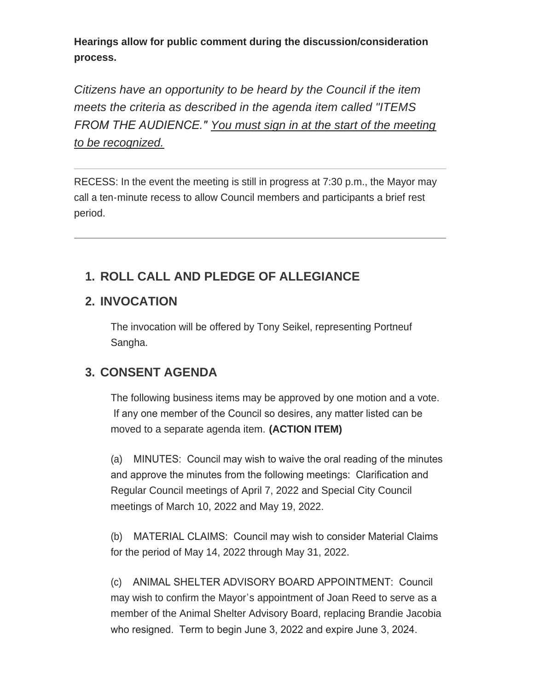**Hearings allow for public comment during the discussion/consideration process.**

*Citizens have an opportunity to be heard by the Council if the item meets the criteria as described in the agenda item called "ITEMS FROM THE AUDIENCE." You must sign in at the start of the meeting to be recognized.*

RECESS: In the event the meeting is still in progress at 7:30 p.m., the Mayor may call a ten-minute recess to allow Council members and participants a brief rest period.

# **ROLL CALL AND PLEDGE OF ALLEGIANCE 1.**

# **INVOCATION 2.**

The invocation will be offered by Tony Seikel, representing Portneuf Sangha.

# **CONSENT AGENDA 3.**

The following business items may be approved by one motion and a vote. If any one member of the Council so desires, any matter listed can be moved to a separate agenda item. **(ACTION ITEM)**

(a) MINUTES: Council may wish to waive the oral reading of the minutes and approve the minutes from the following meetings: Clarification and Regular Council meetings of April 7, 2022 and Special City Council meetings of March 10, 2022 and May 19, 2022.

(b) MATERIAL CLAIMS: Council may wish to consider Material Claims for the period of May 14, 2022 through May 31, 2022.

(c) ANIMAL SHELTER ADVISORY BOARD APPOINTMENT: Council may wish to confirm the Mayor's appointment of Joan Reed to serve as a member of the Animal Shelter Advisory Board, replacing Brandie Jacobia who resigned. Term to begin June 3, 2022 and expire June 3, 2024.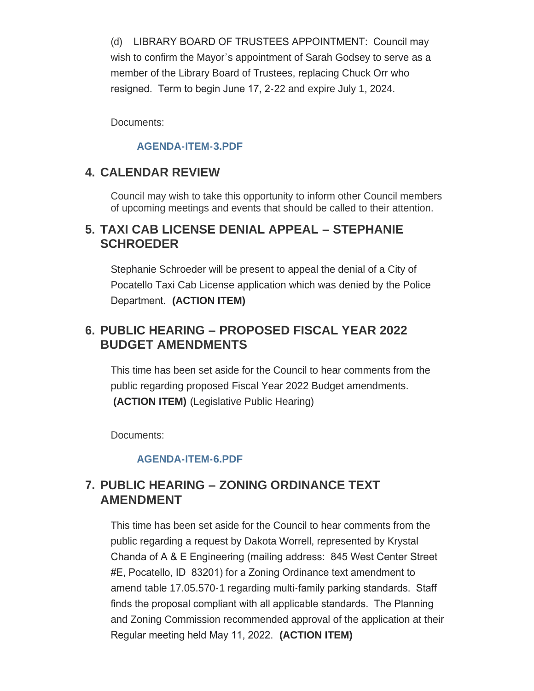(d) LIBRARY BOARD OF TRUSTEES APPOINTMENT: Council may wish to confirm the Mayor's appointment of Sarah Godsey to serve as a member of the Library Board of Trustees, replacing Chuck Orr who resigned. Term to begin June 17, 2-22 and expire July 1, 2024.

Documents:

#### **[AGENDA-ITEM-3.PDF](https://www.pocatello.us/AgendaCenter/ViewFile/Item/3376?fileID=10816)**

# **CALENDAR REVIEW 4.**

Council may wish to take this opportunity to inform other Council members of upcoming meetings and events that should be called to their attention.

### **TAXI CAB LICENSE DENIAL APPEAL – STEPHANIE 5. SCHROEDER**

Stephanie Schroeder will be present to appeal the denial of a City of Pocatello Taxi Cab License application which was denied by the Police Department. **(ACTION ITEM)**

# **PUBLIC HEARING – PROPOSED FISCAL YEAR 2022 6. BUDGET AMENDMENTS**

This time has been set aside for the Council to hear comments from the public regarding proposed Fiscal Year 2022 Budget amendments. **(ACTION ITEM)** (Legislative Public Hearing)

Documents:

#### **[AGENDA-ITEM-6.PDF](https://www.pocatello.us/AgendaCenter/ViewFile/Item/3378?fileID=10817)**

### **PUBLIC HEARING – ZONING ORDINANCE TEXT 7. AMENDMENT**

This time has been set aside for the Council to hear comments from the public regarding a request by Dakota Worrell, represented by Krystal Chanda of A & E Engineering (mailing address: 845 West Center Street #E, Pocatello, ID 83201) for a Zoning Ordinance text amendment to amend table 17.05.570-1 regarding multi-family parking standards. Staff finds the proposal compliant with all applicable standards. The Planning and Zoning Commission recommended approval of the application at their Regular meeting held May 11, 2022. **(ACTION ITEM)**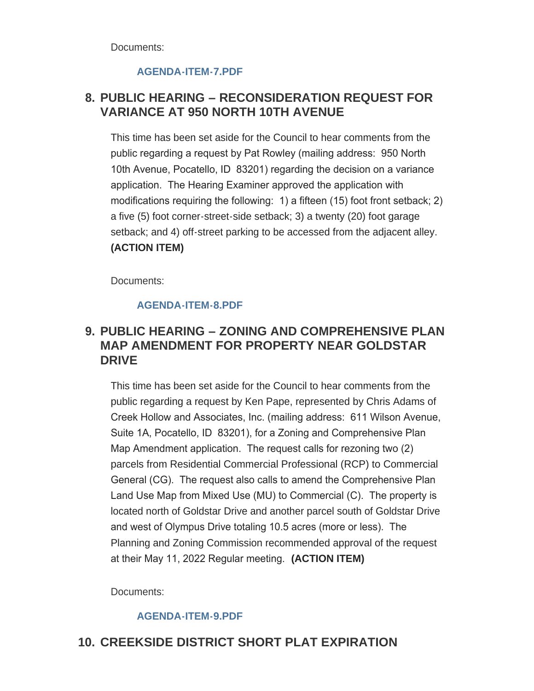Documents:

#### **[AGENDA-ITEM-7.PDF](https://www.pocatello.us/AgendaCenter/ViewFile/Item/3379?fileID=10818)**

# **PUBLIC HEARING – RECONSIDERATION REQUEST FOR 8. VARIANCE AT 950 NORTH 10TH AVENUE**

This time has been set aside for the Council to hear comments from the public regarding a request by Pat Rowley (mailing address: 950 North 10th Avenue, Pocatello, ID 83201) regarding the decision on a variance application. The Hearing Examiner approved the application with modifications requiring the following: 1) a fifteen (15) foot front setback; 2) a five (5) foot corner-street-side setback; 3) a twenty (20) foot garage setback; and 4) off-street parking to be accessed from the adjacent alley. **(ACTION ITEM)**

Documents:

#### **[AGENDA-ITEM-8.PDF](https://www.pocatello.us/AgendaCenter/ViewFile/Item/3380?fileID=10819)**

### **PUBLIC HEARING – ZONING AND COMPREHENSIVE PLAN 9. MAP AMENDMENT FOR PROPERTY NEAR GOLDSTAR DRIVE**

This time has been set aside for the Council to hear comments from the public regarding a request by Ken Pape, represented by Chris Adams of Creek Hollow and Associates, Inc. (mailing address: 611 Wilson Avenue, Suite 1A, Pocatello, ID 83201), for a Zoning and Comprehensive Plan Map Amendment application. The request calls for rezoning two (2) parcels from Residential Commercial Professional (RCP) to Commercial General (CG). The request also calls to amend the Comprehensive Plan Land Use Map from Mixed Use (MU) to Commercial (C). The property is located north of Goldstar Drive and another parcel south of Goldstar Drive and west of Olympus Drive totaling 10.5 acres (more or less). The Planning and Zoning Commission recommended approval of the request at their May 11, 2022 Regular meeting. **(ACTION ITEM)**

Documents:

#### **[AGENDA-ITEM-9.PDF](https://www.pocatello.us/AgendaCenter/ViewFile/Item/3381?fileID=10820)**

# 10. CREEKSIDE DISTRICT SHORT PLAT EXPIRATION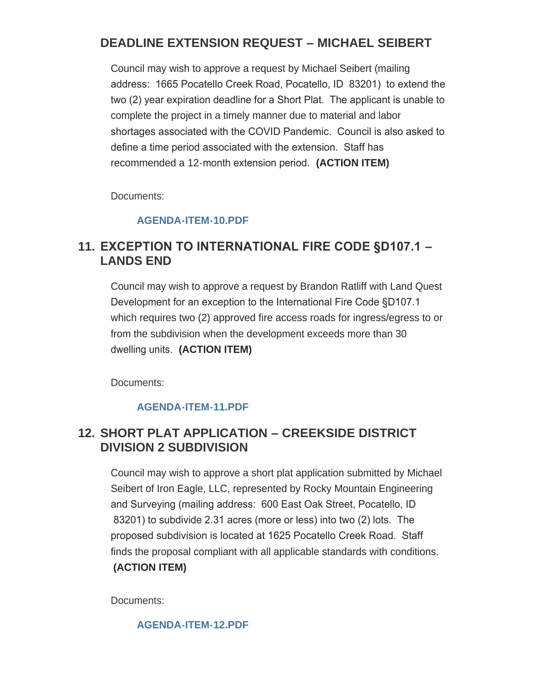# **DEADLINE EXTENSION REQUEST – MICHAEL SEIBERT**

Council may wish to approve a request by Michael Seibert (mailing address: 1665 Pocatello Creek Road, Pocatello, ID 83201) to extend the two (2) year expiration deadline for a Short Plat. The applicant is unable to complete the project in a timely manner due to material and labor shortages associated with the COVID Pandemic. Council is also asked to define a time period associated with the extension. Staff has recommended a 12-month extension period. **(ACTION ITEM)**

Documents:

#### **[AGENDA-ITEM-10.PDF](https://www.pocatello.us/AgendaCenter/ViewFile/Item/3382?fileID=10821)**

### **EXCEPTION TO INTERNATIONAL FIRE CODE §D107.1 – 11. LANDS END**

Council may wish to approve a request by Brandon Ratliff with Land Quest Development for an exception to the International Fire Code §D107.1 which requires two (2) approved fire access roads for ingress/egress to or from the subdivision when the development exceeds more than 30 dwelling units. **(ACTION ITEM)**

Documents:

#### **[AGENDA-ITEM-11.PDF](https://www.pocatello.us/AgendaCenter/ViewFile/Item/3383?fileID=10838)**

# **SHORT PLAT APPLICATION – CREEKSIDE DISTRICT 12. DIVISION 2 SUBDIVISION**

Council may wish to approve a short plat application submitted by Michael Seibert of Iron Eagle, LLC, represented by Rocky Mountain Engineering and Surveying (mailing address: 600 East Oak Street, Pocatello, ID 83201) to subdivide 2.31 acres (more or less) into two (2) lots. The proposed subdivision is located at 1625 Pocatello Creek Road. Staff finds the proposal compliant with all applicable standards with conditions. **(ACTION ITEM)**

Documents:

#### **[AGENDA-ITEM-12.PDF](https://www.pocatello.us/AgendaCenter/ViewFile/Item/3384?fileID=10823)**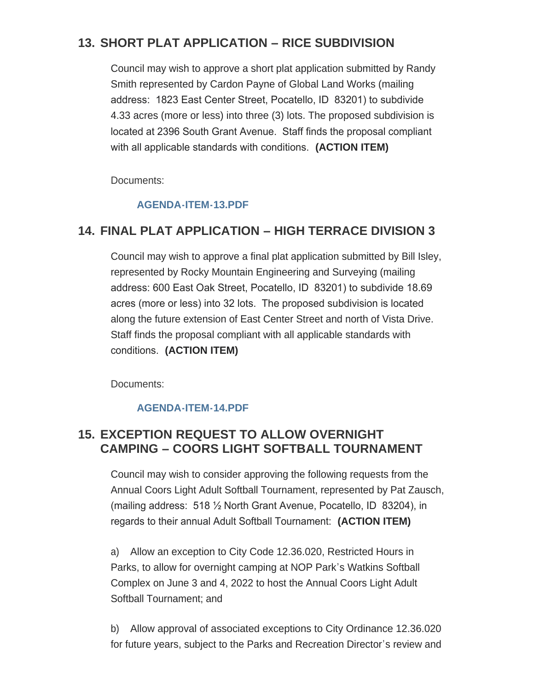# 13. SHORT PLAT APPLICATION – RICE SUBDIVISION

Council may wish to approve a short plat application submitted by Randy Smith represented by Cardon Payne of Global Land Works (mailing address: 1823 East Center Street, Pocatello, ID 83201) to subdivide 4.33 acres (more or less) into three (3) lots. The proposed subdivision is located at 2396 South Grant Avenue. Staff finds the proposal compliant with all applicable standards with conditions. **(ACTION ITEM)**

Documents:

#### **[AGENDA-ITEM-13.PDF](https://www.pocatello.us/AgendaCenter/ViewFile/Item/3385?fileID=10824)**

# **FINAL PLAT APPLICATION – HIGH TERRACE DIVISION 3 14.**

Council may wish to approve a final plat application submitted by Bill Isley, represented by Rocky Mountain Engineering and Surveying (mailing address: 600 East Oak Street, Pocatello, ID 83201) to subdivide 18.69 acres (more or less) into 32 lots. The proposed subdivision is located along the future extension of East Center Street and north of Vista Drive. Staff finds the proposal compliant with all applicable standards with conditions. **(ACTION ITEM)**

Documents:

#### **[AGENDA-ITEM-14.PDF](https://www.pocatello.us/AgendaCenter/ViewFile/Item/3386?fileID=10825)**

# **EXCEPTION REQUEST TO ALLOW OVERNIGHT 15. CAMPING – COORS LIGHT SOFTBALL TOURNAMENT**

Council may wish to consider approving the following requests from the Annual Coors Light Adult Softball Tournament, represented by Pat Zausch, (mailing address: 518 ½ North Grant Avenue, Pocatello, ID 83204), in regards to their annual Adult Softball Tournament: **(ACTION ITEM)**

a) Allow an exception to City Code 12.36.020, Restricted Hours in Parks, to allow for overnight camping at NOP Park's Watkins Softball Complex on June 3 and 4, 2022 to host the Annual Coors Light Adult Softball Tournament; and

b) Allow approval of associated exceptions to City Ordinance 12.36.020 for future years, subject to the Parks and Recreation Director's review and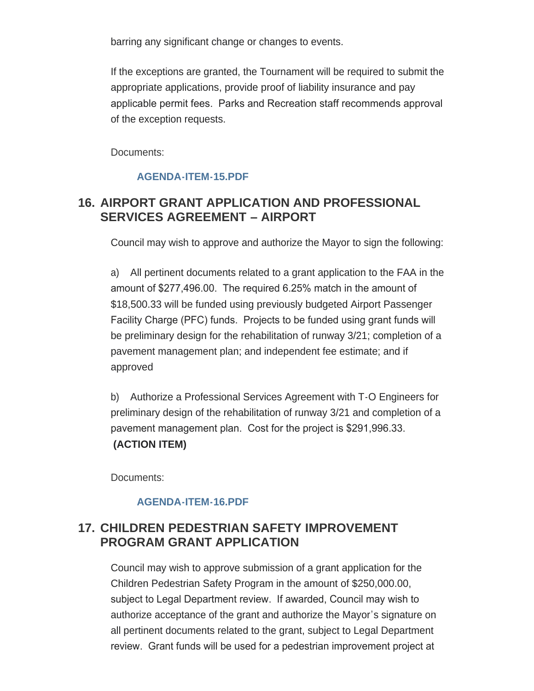barring any significant change or changes to events.

If the exceptions are granted, the Tournament will be required to submit the appropriate applications, provide proof of liability insurance and pay applicable permit fees. Parks and Recreation staff recommends approval of the exception requests.

Documents:

#### **[AGENDA-ITEM-15.PDF](https://www.pocatello.us/AgendaCenter/ViewFile/Item/3387?fileID=10826)**

# **AIRPORT GRANT APPLICATION AND PROFESSIONAL 16. SERVICES AGREEMENT – AIRPORT**

Council may wish to approve and authorize the Mayor to sign the following:

a) All pertinent documents related to a grant application to the FAA in the amount of \$277,496.00. The required 6.25% match in the amount of \$18,500.33 will be funded using previously budgeted Airport Passenger Facility Charge (PFC) funds. Projects to be funded using grant funds will be preliminary design for the rehabilitation of runway 3/21; completion of a pavement management plan; and independent fee estimate; and if approved

b) Authorize a Professional Services Agreement with T-O Engineers for preliminary design of the rehabilitation of runway 3/21 and completion of a pavement management plan. Cost for the project is \$291,996.33. **(ACTION ITEM)**

Documents:

#### **[AGENDA-ITEM-16.PDF](https://www.pocatello.us/AgendaCenter/ViewFile/Item/3388?fileID=10827)**

# **CHILDREN PEDESTRIAN SAFETY IMPROVEMENT 17. PROGRAM GRANT APPLICATION**

Council may wish to approve submission of a grant application for the Children Pedestrian Safety Program in the amount of \$250,000.00, subject to Legal Department review. If awarded, Council may wish to authorize acceptance of the grant and authorize the Mayor's signature on all pertinent documents related to the grant, subject to Legal Department review. Grant funds will be used for a pedestrian improvement project at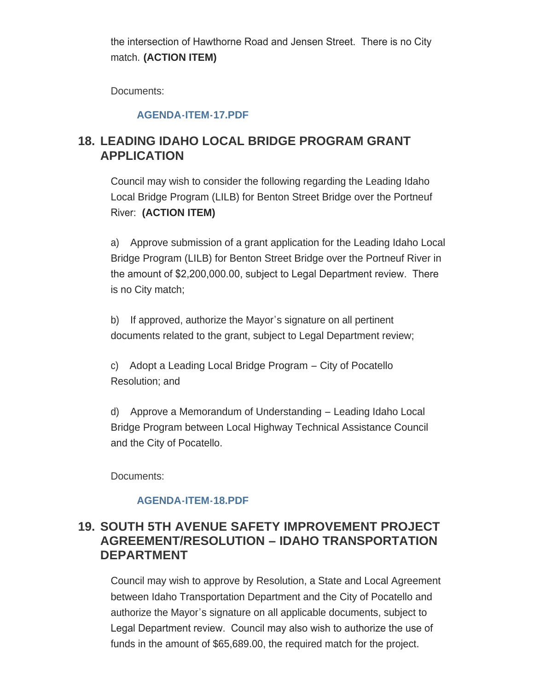the intersection of Hawthorne Road and Jensen Street. There is no City match. **(ACTION ITEM)**

Documents:

#### **[AGENDA-ITEM-17.PDF](https://www.pocatello.us/AgendaCenter/ViewFile/Item/3389?fileID=10828)**

# **LEADING IDAHO LOCAL BRIDGE PROGRAM GRANT 18. APPLICATION**

Council may wish to consider the following regarding the Leading Idaho Local Bridge Program (LILB) for Benton Street Bridge over the Portneuf River: **(ACTION ITEM)**

a) Approve submission of a grant application for the Leading Idaho Local Bridge Program (LILB) for Benton Street Bridge over the Portneuf River in the amount of \$2,200,000.00, subject to Legal Department review. There is no City match;

b) If approved, authorize the Mayor's signature on all pertinent documents related to the grant, subject to Legal Department review;

c) Adopt a Leading Local Bridge Program – City of Pocatello Resolution; and

d) Approve a Memorandum of Understanding – Leading Idaho Local Bridge Program between Local Highway Technical Assistance Council and the City of Pocatello.

Documents:

#### **[AGENDA-ITEM-18.PDF](https://www.pocatello.us/AgendaCenter/ViewFile/Item/3390?fileID=10829)**

### **SOUTH 5TH AVENUE SAFETY IMPROVEMENT PROJECT 19. AGREEMENT/RESOLUTION – IDAHO TRANSPORTATION DEPARTMENT**

Council may wish to approve by Resolution, a State and Local Agreement between Idaho Transportation Department and the City of Pocatello and authorize the Mayor's signature on all applicable documents, subject to Legal Department review. Council may also wish to authorize the use of funds in the amount of \$65,689.00, the required match for the project.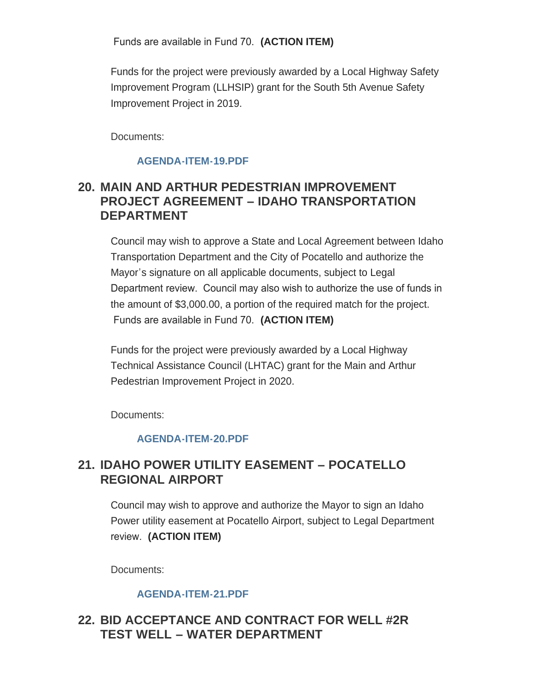Funds are available in Fund 70. **(ACTION ITEM)**

Funds for the project were previously awarded by a Local Highway Safety Improvement Program (LLHSIP) grant for the South 5th Avenue Safety Improvement Project in 2019.

Documents:

#### **[AGENDA-ITEM-19.PDF](https://www.pocatello.us/AgendaCenter/ViewFile/Item/3391?fileID=10830)**

### **MAIN AND ARTHUR PEDESTRIAN IMPROVEMENT 20. PROJECT AGREEMENT – IDAHO TRANSPORTATION DEPARTMENT**

Council may wish to approve a State and Local Agreement between Idaho Transportation Department and the City of Pocatello and authorize the Mayor's signature on all applicable documents, subject to Legal Department review. Council may also wish to authorize the use of funds in the amount of \$3,000.00, a portion of the required match for the project. Funds are available in Fund 70. **(ACTION ITEM)**

Funds for the project were previously awarded by a Local Highway Technical Assistance Council (LHTAC) grant for the Main and Arthur Pedestrian Improvement Project in 2020.

Documents:

#### **[AGENDA-ITEM-20.PDF](https://www.pocatello.us/AgendaCenter/ViewFile/Item/3392?fileID=10831)**

### **IDAHO POWER UTILITY EASEMENT – POCATELLO 21. REGIONAL AIRPORT**

Council may wish to approve and authorize the Mayor to sign an Idaho Power utility easement at Pocatello Airport, subject to Legal Department review. **(ACTION ITEM)**

Documents:

#### **[AGENDA-ITEM-21.PDF](https://www.pocatello.us/AgendaCenter/ViewFile/Item/3393?fileID=10832)**

### **BID ACCEPTANCE AND CONTRACT FOR WELL #2R 22. TEST WELL – WATER DEPARTMENT**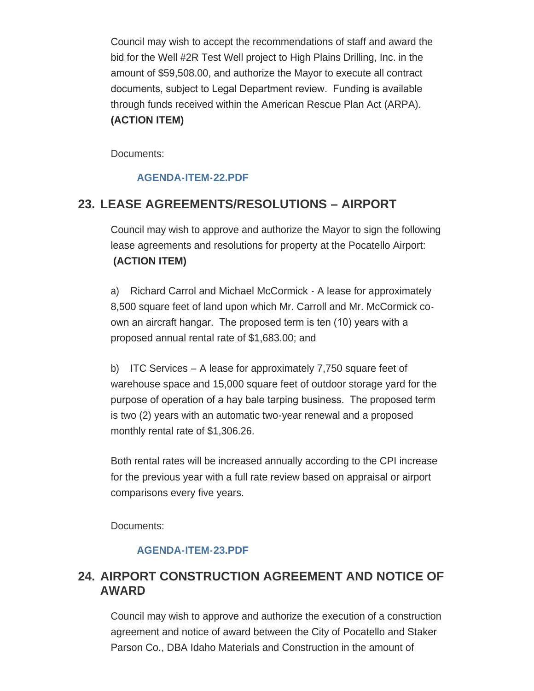Council may wish to accept the recommendations of staff and award the bid for the Well #2R Test Well project to High Plains Drilling, Inc. in the amount of \$59,508.00, and authorize the Mayor to execute all contract documents, subject to Legal Department review. Funding is available through funds received within the American Rescue Plan Act (ARPA). **(ACTION ITEM)**

Documents:

#### **[AGENDA-ITEM-22.PDF](https://www.pocatello.us/AgendaCenter/ViewFile/Item/3394?fileID=10833)**

# **LEASE AGREEMENTS/RESOLUTIONS – AIRPORT 23.**

Council may wish to approve and authorize the Mayor to sign the following lease agreements and resolutions for property at the Pocatello Airport: **(ACTION ITEM)**

a) Richard Carrol and Michael McCormick - A lease for approximately 8,500 square feet of land upon which Mr. Carroll and Mr. McCormick coown an aircraft hangar. The proposed term is ten (10) years with a proposed annual rental rate of \$1,683.00; and

b) ITC Services – A lease for approximately 7,750 square feet of warehouse space and 15,000 square feet of outdoor storage yard for the purpose of operation of a hay bale tarping business. The proposed term is two (2) years with an automatic two-year renewal and a proposed monthly rental rate of \$1,306.26.

Both rental rates will be increased annually according to the CPI increase for the previous year with a full rate review based on appraisal or airport comparisons every five years.

Documents:

#### **[AGENDA-ITEM-23.PDF](https://www.pocatello.us/AgendaCenter/ViewFile/Item/3395?fileID=10834)**

### **AIRPORT CONSTRUCTION AGREEMENT AND NOTICE OF 24. AWARD**

Council may wish to approve and authorize the execution of a construction agreement and notice of award between the City of Pocatello and Staker Parson Co., DBA Idaho Materials and Construction in the amount of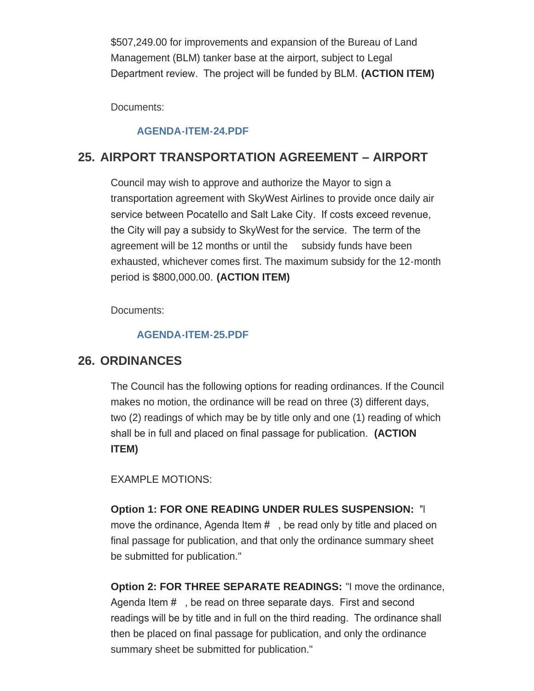\$507,249.00 for improvements and expansion of the Bureau of Land Management (BLM) tanker base at the airport, subject to Legal Department review. The project will be funded by BLM. **(ACTION ITEM)**

Documents:

#### **[AGENDA-ITEM-24.PDF](https://www.pocatello.us/AgendaCenter/ViewFile/Item/3396?fileID=10835)**

### **AIRPORT TRANSPORTATION AGREEMENT – AIRPORT 25.**

Council may wish to approve and authorize the Mayor to sign a transportation agreement with SkyWest Airlines to provide once daily air service between Pocatello and Salt Lake City. If costs exceed revenue, the City will pay a subsidy to SkyWest for the service. The term of the agreement will be 12 months or until the subsidy funds have been exhausted, whichever comes first. The maximum subsidy for the 12-month period is \$800,000.00. **(ACTION ITEM)**

Documents:

#### **[AGENDA-ITEM-25.PDF](https://www.pocatello.us/AgendaCenter/ViewFile/Item/3397?fileID=10836)**

### **ORDINANCES 26.**

The Council has the following options for reading ordinances. If the Council makes no motion, the ordinance will be read on three (3) different days, two (2) readings of which may be by title only and one (1) reading of which shall be in full and placed on final passage for publication. **(ACTION ITEM)**

EXAMPLE MOTIONS:

**Option 1: FOR ONE READING UNDER RULES SUSPENSION:** "I move the ordinance, Agenda Item #, be read only by title and placed on final passage for publication, and that only the ordinance summary sheet be submitted for publication."

**Option 2: FOR THREE SEPARATE READINGS:** "I move the ordinance, Agenda Item # , be read on three separate days. First and second readings will be by title and in full on the third reading. The ordinance shall then be placed on final passage for publication, and only the ordinance summary sheet be submitted for publication."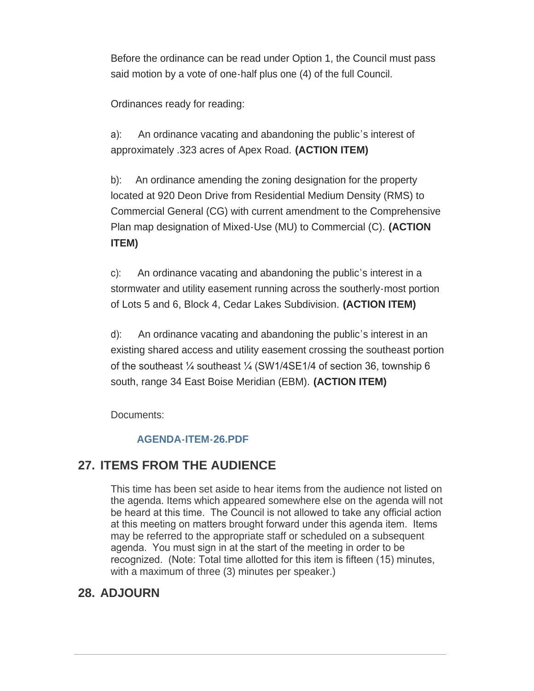Before the ordinance can be read under Option 1, the Council must pass said motion by a vote of one-half plus one (4) of the full Council.

Ordinances ready for reading:

a): An ordinance vacating and abandoning the public's interest of approximately .323 acres of Apex Road. **(ACTION ITEM)**

b): An ordinance amending the zoning designation for the property located at 920 Deon Drive from Residential Medium Density (RMS) to Commercial General (CG) with current amendment to the Comprehensive Plan map designation of Mixed-Use (MU) to Commercial (C). **(ACTION ITEM)**

c): An ordinance vacating and abandoning the public's interest in a stormwater and utility easement running across the southerly-most portion of Lots 5 and 6, Block 4, Cedar Lakes Subdivision. **(ACTION ITEM)**

d): An ordinance vacating and abandoning the public's interest in an existing shared access and utility easement crossing the southeast portion of the southeast ¼ southeast ¼ (SW1/4SE1/4 of section 36, township 6 south, range 34 East Boise Meridian (EBM). **(ACTION ITEM)**

Documents:

#### **[AGENDA-ITEM-26.PDF](https://www.pocatello.us/AgendaCenter/ViewFile/Item/3398?fileID=10837)**

### **ITEMS FROM THE AUDIENCE 27.**

This time has been set aside to hear items from the audience not listed on the agenda. Items which appeared somewhere else on the agenda will not be heard at this time. The Council is not allowed to take any official action at this meeting on matters brought forward under this agenda item. Items may be referred to the appropriate staff or scheduled on a subsequent agenda. You must sign in at the start of the meeting in order to be recognized. (Note: Total time allotted for this item is fifteen (15) minutes, with a maximum of three (3) minutes per speaker.)

# **ADJOURN 28.**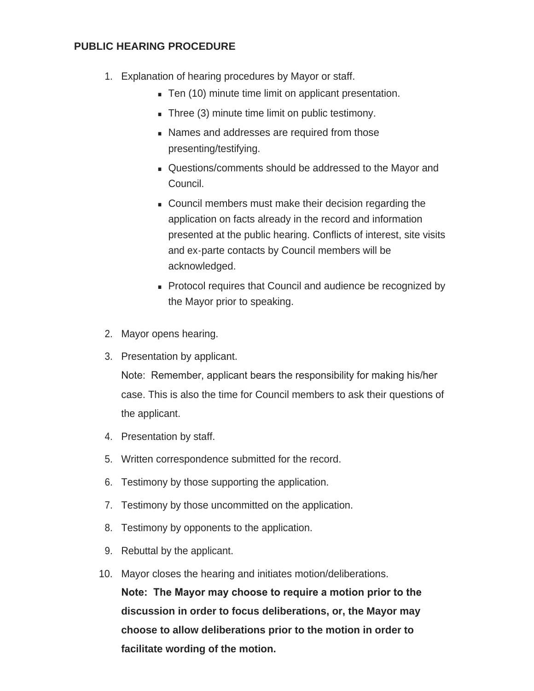#### **PUBLIC HEARING PROCEDURE**

- 1. Explanation of hearing procedures by Mayor or staff.
	- Ten (10) minute time limit on applicant presentation.
	- $\blacksquare$  Three (3) minute time limit on public testimony.
	- **Names and addresses are required from those** presenting/testifying.
	- <sup>n</sup> Questions/comments should be addressed to the Mayor and Council.
	- **Council members must make their decision regarding the** application on facts already in the record and information presented at the public hearing. Conflicts of interest, site visits and ex-parte contacts by Council members will be acknowledged.
	- Protocol requires that Council and audience be recognized by the Mayor prior to speaking.
- 2. Mayor opens hearing.
- 3. Presentation by applicant.

Note: Remember, applicant bears the responsibility for making his/her case. This is also the time for Council members to ask their questions of the applicant.

- 4. Presentation by staff.
- 5. Written correspondence submitted for the record.
- 6. Testimony by those supporting the application.
- 7. Testimony by those uncommitted on the application.
- 8. Testimony by opponents to the application.
- 9. Rebuttal by the applicant.
- 10. Mayor closes the hearing and initiates motion/deliberations. **Note: The Mayor may choose to require a motion prior to the discussion in order to focus deliberations, or, the Mayor may choose to allow deliberations prior to the motion in order to facilitate wording of the motion.**